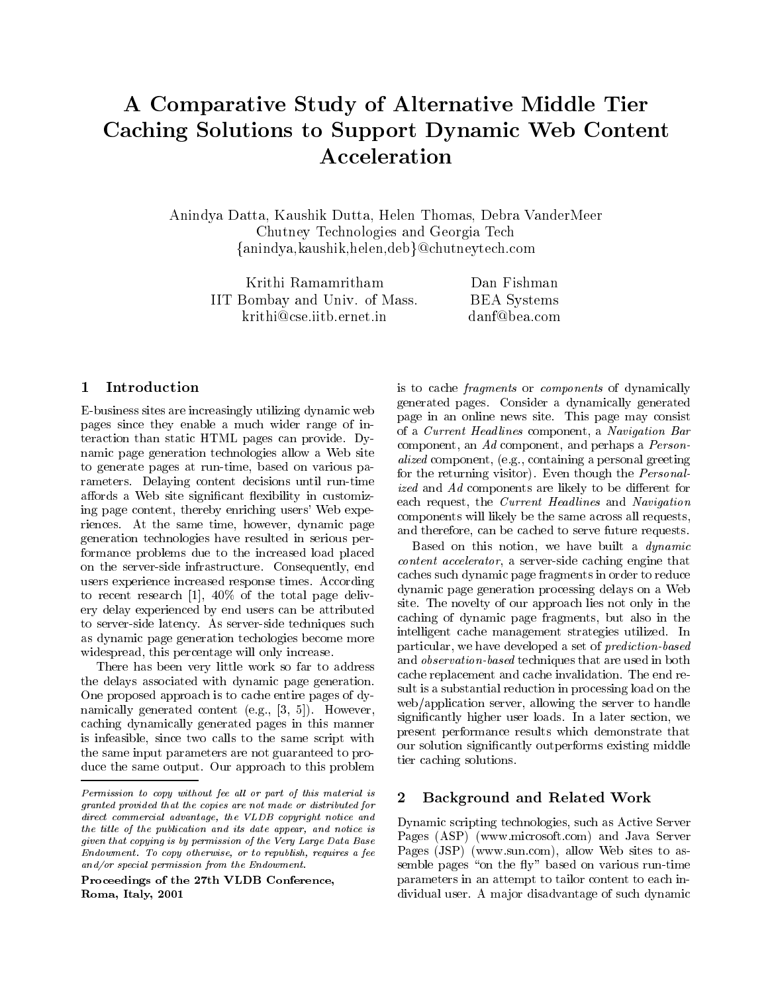# A Comparative Study of Alternative Middle Tier Caching Solutions to Support Dynamic Web Content Acceleration

Anindya Datta, Kaushik Dutta, Helen Thomas, Debra VanderMeer Chutney Technologies and Georgia Tech  $\{\text{anindya}, \text{kaushik}, \text{helen}, \text{deb}\}$ @chutneytech.com

Krithi Ramamritham IIT Bombay and Univ. of Mass. krithi@cse.iitb.ernet.in

Dan Fishman BEA Systems danf@bea.com

#### 1Introduction

E-business sites are increasingly utilizing dynamic web pages since they enable a much wider range of interaction than static HTML pages can provide. Dynamic page generation technologies allow a Web site to generate pages at run-time, based on various parameters. Delaying content decisions until run-time affords a Web site significant flexibility in customizing page content, thereby enriching users' Web experiences. At the same time, however, dynamic page generation technologies have resulted in serious performance problems due to the increased load placed on the server-side infrastructure. Consequently, end users experience increased response times. According to recent research [1], 40% of the total page delivery delay experienced by end users can be attributed to server-side latency. As server-side techniques such as dynamic page generation techologies become more widespread, this percentage will only increase.

There has been very little work so far to address the delays associated with dynamic page generation. One proposed approach is to cache entire pages of dynamically generated content (e.g., [3, 5]). However, caching dynamically generated pages in this manner is infeasible, since two calls to the same script with the same input parameters are not guaranteed to produce the same output. Our approach to this problem

Proceedings of the 27th VLDB Conference,Roma, Italy, 2001

is to cache fragments or components of dynamically generated pages. Consider a dynamically generated page in an online news site. This page may consist of a Current Headlines component, a Navigation Bar component, an Ad component, and perhaps a Personalized component, (e.g., containing a personal greeting for the returning visitor). Even though the Personalized and  $Ad$  components are likely to be different for each request, the Current Headlines and Navigation components will likely be the same across all requests, and therefore, can be cached to serve future requests.

Based on this notion, we have built a dynamic content accelerator, a server-side caching engine that caches such dynamic page fragments in order to reduce dynamic page generation processing delays on a Web site. The novelty of our approach lies not only in the caching of dynamic page fragments, but also in the intelligent cache management strategies utilized. In particular, we have developed a set of prediction-based and observation-based techniques that are used in both cache replacement and cache invalidation. The end result is a substantial reduction in processing load on the web/application server, allowing the server to handle signicantly higher user loads. In a later section, we present performance results which demonstrate that our solution signicantly outperforms existing middle tier caching solutions.

## Background and Related Work

Dynamic scripting technologies, such as Active Server Pages (ASP) (www.microsoft.com) and Java Server Pages (JSP) (www.sun.com), allow Web sites to assemble pages "on the fly" based on various run-time parameters in an attempt to tailor content to each individual user. A major disadvantage of such dynamic

**Permission to copy without fee all or part of this material is**  $\boldsymbol{\alpha}$ granted provided that the copies are not made or distributed forance commercial advantage, the VLDB copyright notice and  $\Box$ the title of the publication and its date appear, and notice is  $\equiv$ given that copying is by permission of the Very Large Data BaseEndowment. To copy otherwise, or to republish, requires a fee and/or special permission from the Endowment.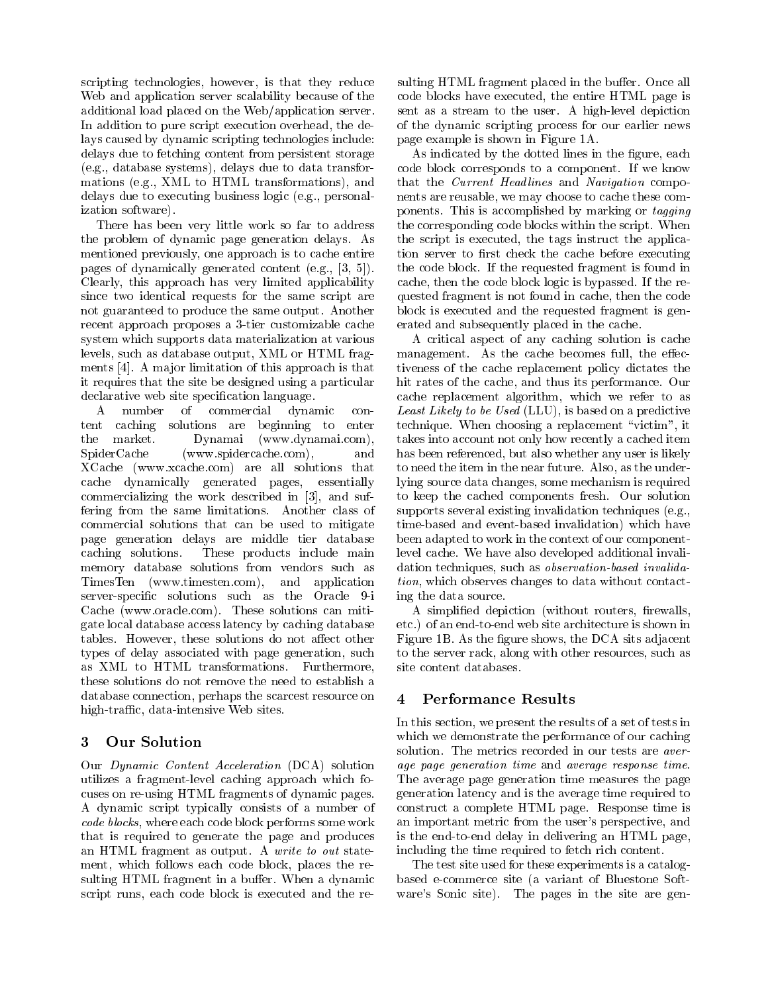scripting technologies, however, is that they reduce Web and application server scalability because of the additional load placed on the Web/application server. In addition to pure script execution overhead, the delays caused by dynamic scripting technologies include: delays due to fetching content from persistent storage (e.g., database systems), delays due to data transformations (e.g., XML to HTML transformations), and delays due to executing business logic (e.g., personalization software).

There has been very little work so far to address the problem of dynamic page generation delays. As mentioned previously, one approach is to cache entire pages of dynamically generated content (e.g., [3, 5]). Clearly, this approach has very limited applicability since two identical requests for the same script are not guaranteed to produce the same output. Another recent approach proposes a 3-tier customizable cache system which supports data materialization at various levels, such as database output, XML or HTML fragments [4]. A ma jor limitation of this approach is that it requires that the site be designed using a particular declarative web site specification language.

 $\mathbf{A}$ number of commercial dynamic  $con$ tent caching solutions are beginning to enter the market. Dynamai (www.dynamai.com),  $SpiderCache$  (www.spidercache.com), and XCache (www.xcache.com) are all solutions that cache dynamically generated pages, essentially commercializing the work described in [3], and suffering from the same limitations. Another class of commercial solutions that can be used to mitigate page generation delays are middle tier database caching solutions. These products include main memory database solutions from vendors such as TimesTen (www.timesten.com), and application server-specic solutions such as the Oracle 9-i Cache (www.oracle.com). These solutions can mitigate local database access latency by caching database tables. However, these solutions do not affect other types of delay associated with page generation, such as XML to HTML transformations. Furthermore, these solutions do not remove the need to establish a database connection, perhaps the scarcest resource on high-traffic, data-intensive Web sites.

#### 3Our Solution

Our Dynamic Content Acceleration (DCA) solution utilizes a fragment-level caching approach which focuses on re-using HTML fragments of dynamic pages. A dynamic script typically consists of a number of code blocks, where each code block performs some work that is required to generate the page and produces an HTML fragment as output. A write to out statement, which follows each code block, places the resulting HTML fragment in a buffer. When a dynamic script runs, each code block is executed and the resulting HTML fragment placed in the buffer. Once all code blocks have executed, the entire HTML page is sent as a stream to the user. A high-level depiction of the dynamic scripting process for our earlier news page example is shown in Figure 1A.

As indicated by the dotted lines in the figure, each code block corresponds to a component. If we know that the *Current Headlines* and *Navigation* components are reusable, we may choose to cache these components. This is accomplished by marking or tagging the corresponding code blocks within the script. When the script is executed, the tags instruct the application server to first check the cache before executing the code block. If the requested fragment is found in cache, then the code block logic is bypassed. If the requested fragment is not found in cache, then the code block is executed and the requested fragment is generated and subsequently placed in the cache.

A critical aspect of any caching solution is cache management. As the cache becomes full, the effectiveness of the cache replacement policy dictates the hit rates of the cache, and thus its performance. Our cache replacement algorithm, which we refer to as Least Likely to be Used (LLU), is based on a predictive technique. When choosing a replacement \victim", it takes into account not only how recently a cached item has been referenced, but also whether any user is likely to need the item in the near future. Also, as the underlying source data changes, some mechanism is required to keep the cached components fresh. Our solution supports several existing invalidation techniques (e.g., time-based and event-based invalidation) which have been adapted to work in the context of our componentlevel cache. We have also developed additional invalidation techniques, such as observation-based invalidation, which observes changes to data without contacting the data source.

A simplified depiction (without routers, firewalls, etc.) of an end-to-end web site architecture is shown in Figure 1B. As the figure shows, the DCA sits adjacent to the server rack, along with other resources, such as site content databases.

### 4Performance Results

In this section, we present the results of a set of tests in which we demonstrate the performance of our caching solution. The metrics recorded in our tests are average page generation time and average response time. The average page generation time measures the page generation latency and is the average time required to construct a complete HTML page. Response time is an important metric from the user's perspective, and is the end-to-end delay in delivering an HTML page, including the time required to fetch rich content.

The test site used for these experiments is a catalogbased e-commerce site (a variant of Bluestone Soft ware's Sonic site). The pages in the site are gen-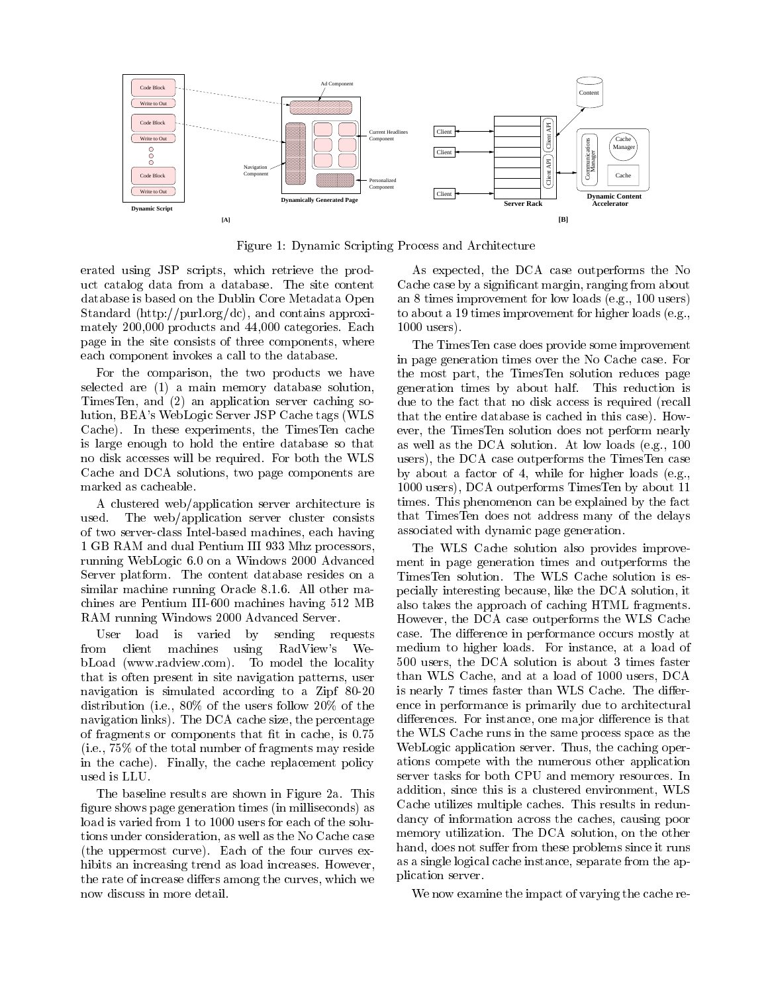

Figure 1: Dynamic Scripting Process and Architecture

erated using JSP scripts, which retrieve the product catalog data from a database. The site content database is based on the Dublin Core Metadata Open Standard (http://purl.org/dc), and contains approximately 200,000 products and 44,000 categories. Each page in the site consists of three components, where each component invokes a call to the database.

For the comparison, the two products we have selected are (1) a main memory database solution, TimesTen, and (2) an application server caching solution, BEA's WebLogic Server JSP Cache tags (WLS Cache). In these experiments, the TimesTen cache is large enough to hold the entire database so that no disk accesses will be required. For both the WLS Cache and DCA solutions, two page components are marked as cacheable.

A clustered web/application server architecture is The web/application server cluster consists used. of two server-class Intel-based machines, each having 1 GB RAM and dual Pentium III 933 Mhz processors, running WebLogic 6.0 on a Windows 2000 Advanced Server platform. The content database resides on a similar machine running Oracle 8.1.6. All other machines are Pentium III-600 machines having 512 MB RAM running Windows 2000 Advanced Server.

User load is varied by sending requests from client machines using RadView's WebLoad (www.radview.com). To model the locality that is often present in site navigation patterns, user navigation is simulated according to a Zipf 80-20 distribution (i.e., 80% of the users follow 20% of the navigation links). The DCA cache size, the percentage of fragments or components that fit in cache, is  $0.75$ (i.e., 75% of the total number of fragments may reside in the cache). Finally, the cache replacement policy used is LLU.

The baseline results are shown in Figure 2a. This figure shows page generation times (in milliseconds) as load is varied from 1 to 1000 users for each of the solutions under consideration, as well as the No Cache case (the uppermost curve). Each of the four curves exhibits an increasing trend as load increases. However, the rate of increase differs among the curves, which we now discuss in more detail.

As expected, the DCA case outperforms the No Cache case by a signicant margin, ranging from about an 8 times improvement for low loads (e.g., 100 users) to about a 19 times improvement for higher loads (e.g., 1000 users).

The TimesTen case does provide some improvement in page generation times over the No Cache case. For the most part, the TimesTen solution reduces page generation times by about half. This reduction is due to the fact that no disk access is required (recall that the entire database is cached in this case). How ever, the TimesTen solution does not perform nearly as well as the DCA solution. At low loads (e.g., 100 users), the DCA case outperforms the TimesTen case by about a factor of 4, while for higher loads (e.g., 1000 users), DCA outperforms TimesTen by about 11 times. This phenomenon can be explained by the fact that TimesTen does not address many of the delays associated with dynamic page generation.

The WLS Cache solution also provides improvement in page generation times and outperforms the TimesTen solution. The WLS Cache solution is especially interesting because, like the DCA solution, it also takes the approach of caching HTML fragments. However, the DCA case outperforms the WLS Cache case. The difference in performance occurs mostly at medium to higher loads. For instance, at a load of 500 users, the DCA solution is about 3 times faster than WLS Cache, and at a load of 1000 users, DCA is nearly 7 times faster than WLS Cache. The difference in performance is primarily due to architectural differences. For instance, one major difference is that the WLS Cache runs in the same process space as the WebLogic application server. Thus, the caching operations compete with the numerous other application server tasks for both CPU and memory resources. In addition, since this is a clustered environment, WLS Cache utilizes multiple caches. This results in redundancy of information across the caches, causing poor memory utilization. The DCA solution, on the other hand, does not suffer from these problems since it runs as a single logical cache instance, separate from the application server.

We now examine the impact of varying the cache re-